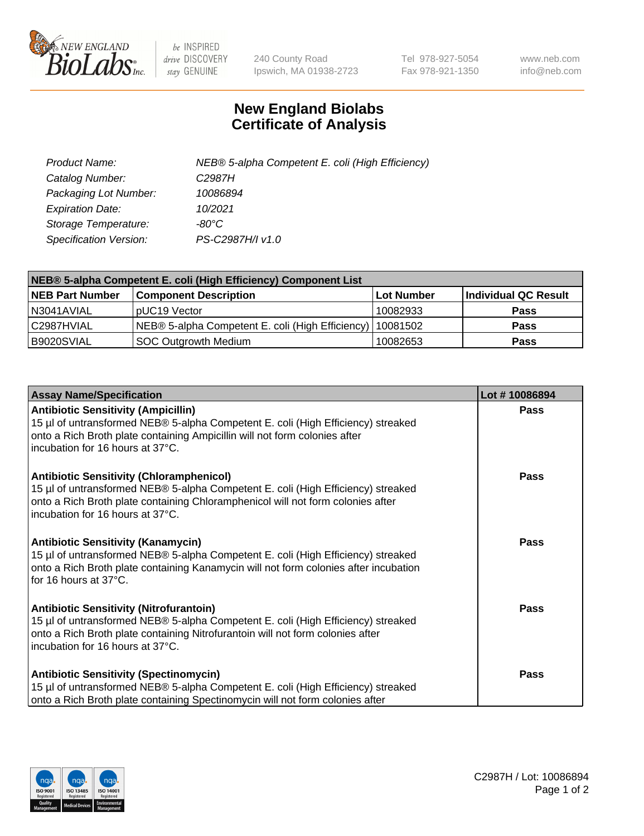

 $be$  INSPIRED drive DISCOVERY stay GENUINE

240 County Road Ipswich, MA 01938-2723 Tel 978-927-5054 Fax 978-921-1350 www.neb.com info@neb.com

## **New England Biolabs Certificate of Analysis**

| Product Name:           | NEB® 5-alpha Competent E. coli (High Efficiency) |
|-------------------------|--------------------------------------------------|
| Catalog Number:         | C <sub>2987</sub> H                              |
| Packaging Lot Number:   | 10086894                                         |
| <b>Expiration Date:</b> | 10/2021                                          |
| Storage Temperature:    | -80°C                                            |
| Specification Version:  | PS-C2987H/I v1.0                                 |

| NEB® 5-alpha Competent E. coli (High Efficiency) Component List |                                                             |                   |                      |  |
|-----------------------------------------------------------------|-------------------------------------------------------------|-------------------|----------------------|--|
| <b>NEB Part Number</b>                                          | <b>Component Description</b>                                | <b>Lot Number</b> | Individual QC Result |  |
| N3041AVIAL                                                      | pUC19 Vector                                                | 10082933          | <b>Pass</b>          |  |
| C2987HVIAL                                                      | NEB® 5-alpha Competent E. coli (High Efficiency)   10081502 |                   | <b>Pass</b>          |  |
| B9020SVIAL                                                      | SOC Outgrowth Medium                                        | 10082653          | <b>Pass</b>          |  |

| <b>Assay Name/Specification</b>                                                                                                                                                                                                                            | Lot #10086894 |
|------------------------------------------------------------------------------------------------------------------------------------------------------------------------------------------------------------------------------------------------------------|---------------|
| <b>Antibiotic Sensitivity (Ampicillin)</b><br>15 µl of untransformed NEB® 5-alpha Competent E. coli (High Efficiency) streaked<br>onto a Rich Broth plate containing Ampicillin will not form colonies after<br>incubation for 16 hours at 37°C.           | <b>Pass</b>   |
| <b>Antibiotic Sensitivity (Chloramphenicol)</b><br>15 µl of untransformed NEB® 5-alpha Competent E. coli (High Efficiency) streaked<br>onto a Rich Broth plate containing Chloramphenicol will not form colonies after<br>incubation for 16 hours at 37°C. | Pass          |
| Antibiotic Sensitivity (Kanamycin)<br>15 µl of untransformed NEB® 5-alpha Competent E. coli (High Efficiency) streaked<br>onto a Rich Broth plate containing Kanamycin will not form colonies after incubation<br>for 16 hours at 37°C.                    | Pass          |
| <b>Antibiotic Sensitivity (Nitrofurantoin)</b><br>15 µl of untransformed NEB® 5-alpha Competent E. coli (High Efficiency) streaked<br>onto a Rich Broth plate containing Nitrofurantoin will not form colonies after<br>incubation for 16 hours at 37°C.   | <b>Pass</b>   |
| <b>Antibiotic Sensitivity (Spectinomycin)</b><br>15 µl of untransformed NEB® 5-alpha Competent E. coli (High Efficiency) streaked<br>onto a Rich Broth plate containing Spectinomycin will not form colonies after                                         | Pass          |